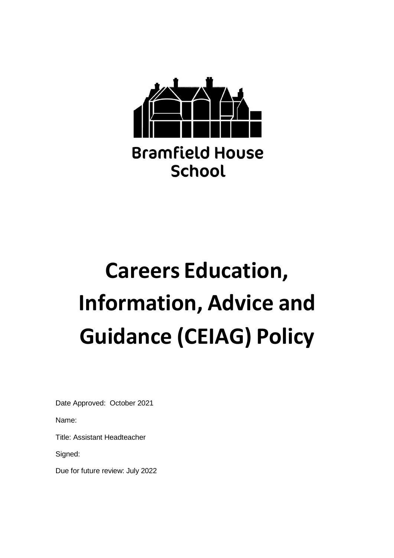

# **Careers Education, Information, Advice and Guidance (CEIAG) Policy**

Date Approved: October 2021

Name:

Title: Assistant Headteacher

Signed:

Due for future review: July 2022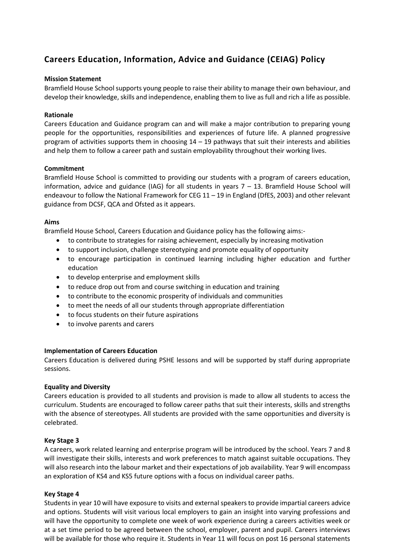# **Careers Education, Information, Advice and Guidance (CEIAG) Policy**

# **Mission Statement**

Bramfield House School supports young people to raise their ability to manage their own behaviour, and develop their knowledge, skills and independence, enabling them to live as full and rich a life as possible.

# **Rationale**

Careers Education and Guidance program can and will make a major contribution to preparing young people for the opportunities, responsibilities and experiences of future life. A planned progressive program of activities supports them in choosing 14 – 19 pathways that suit their interests and abilities and help them to follow a career path and sustain employability throughout their working lives.

# **Commitment**

Bramfield House School is committed to providing our students with a program of careers education, information, advice and guidance (IAG) for all students in years 7 – 13. Bramfield House School will endeavour to follow the National Framework for CEG 11 – 19 in England (DfES, 2003) and other relevant guidance from DCSF, QCA and Ofsted as it appears.

# **Aims**

Bramfield House School, Careers Education and Guidance policy has the following aims:-

- to contribute to strategies for raising achievement, especially by increasing motivation
- to support inclusion, challenge stereotyping and promote equality of opportunity
- to encourage participation in continued learning including higher education and further education
- to develop enterprise and employment skills
- to reduce drop out from and course switching in education and training
- to contribute to the economic prosperity of individuals and communities
- to meet the needs of all our students through appropriate differentiation
- to focus students on their future aspirations
- to involve parents and carers

# **Implementation of Careers Education**

Careers Education is delivered during PSHE lessons and will be supported by staff during appropriate sessions.

# **Equality and Diversity**

Careers education is provided to all students and provision is made to allow all students to access the curriculum. Students are encouraged to follow career paths that suit their interests, skills and strengths with the absence of stereotypes. All students are provided with the same opportunities and diversity is celebrated.

# **Key Stage 3**

A careers, work related learning and enterprise program will be introduced by the school. Years 7 and 8 will investigate their skills, interests and work preferences to match against suitable occupations. They will also research into the labour market and their expectations of job availability. Year 9 will encompass an exploration of KS4 and KS5 future options with a focus on individual career paths.

# **Key Stage 4**

Students in year 10 will have exposure to visits and external speakers to provide impartial careers advice and options. Students will visit various local employers to gain an insight into varying professions and will have the opportunity to complete one week of work experience during a careers activities week or at a set time period to be agreed between the school, employer, parent and pupil. Careers interviews will be available for those who require it. Students in Year 11 will focus on post 16 personal statements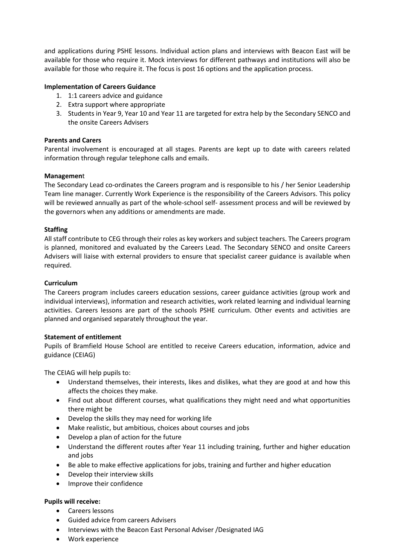and applications during PSHE lessons. Individual action plans and interviews with Beacon East will be available for those who require it. Mock interviews for different pathways and institutions will also be available for those who require it. The focus is post 16 options and the application process.

# **Implementation of Careers Guidance**

- 1. 1:1 careers advice and guidance
- 2. Extra support where appropriate
- 3. Students in Year 9, Year 10 and Year 11 are targeted for extra help by the Secondary SENCO and the onsite Careers Advisers

# **Parents and Carers**

Parental involvement is encouraged at all stages. Parents are kept up to date with careers related information through regular telephone calls and emails.

# **Managemen**t

The Secondary Lead co-ordinates the Careers program and is responsible to his / her Senior Leadership Team line manager. Currently Work Experience is the responsibility of the Careers Advisors. This policy will be reviewed annually as part of the whole-school self- assessment process and will be reviewed by the governors when any additions or amendments are made.

# **Staffing**

All staff contribute to CEG through their roles as key workers and subject teachers. The Careers program is planned, monitored and evaluated by the Careers Lead. The Secondary SENCO and onsite Careers Advisers will liaise with external providers to ensure that specialist career guidance is available when required.

# **Curriculum**

The Careers program includes careers education sessions, career guidance activities (group work and individual interviews), information and research activities, work related learning and individual learning activities. Careers lessons are part of the schools PSHE curriculum. Other events and activities are planned and organised separately throughout the year.

# **Statement of entitlement**

Pupils of Bramfield House School are entitled to receive Careers education, information, advice and guidance (CEIAG)

The CEIAG will help pupils to:

- Understand themselves, their interests, likes and dislikes, what they are good at and how this affects the choices they make.
- Find out about different courses, what qualifications they might need and what opportunities there might be
- Develop the skills they may need for working life
- Make realistic, but ambitious, choices about courses and jobs
- Develop a plan of action for the future
- Understand the different routes after Year 11 including training, further and higher education and jobs
- Be able to make effective applications for jobs, training and further and higher education
- Develop their interview skills
- Improve their confidence

# **Pupils will receive:**

- Careers lessons
- Guided advice from careers Advisers
- Interviews with the Beacon East Personal Adviser /Designated IAG
- Work experience